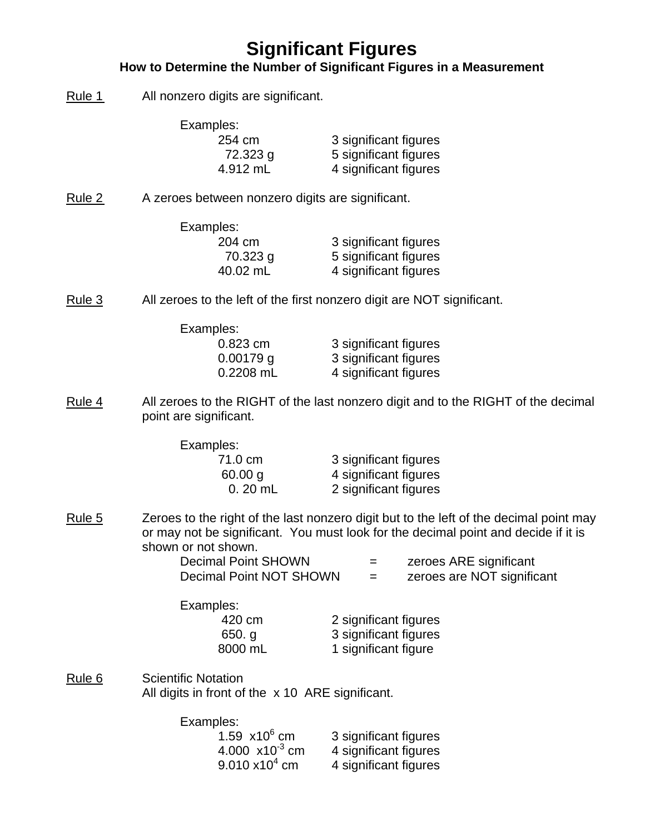## **Significant Figures**

#### **How to Determine the Number of Significant Figures in a Measurement**

Rule 1 All nonzero digits are significant.

| Examples: |                       |
|-----------|-----------------------|
| 254 cm    | 3 significant figures |
| 72.323 g  | 5 significant figures |
| 4.912 mL  | 4 significant figures |

Rule 2 A zeroes between nonzero digits are significant.

| Examples: |                       |
|-----------|-----------------------|
| 204 cm    | 3 significant figures |
| 70.323 g  | 5 significant figures |
| 40.02 mL  | 4 significant figures |

Rule 3 All zeroes to the left of the first nonzero digit are NOT significant.

| 3 significant figures |
|-----------------------|
| 3 significant figures |
| 4 significant figures |
|                       |

Rule 4 All zeroes to the RIGHT of the last nonzero digit and to the RIGHT of the decimal point are significant.

| 3 significant figures |
|-----------------------|
| 4 significant figures |
| 2 significant figures |
|                       |

Rule 5 Zeroes to the right of the last nonzero digit but to the left of the decimal point may or may not be significant. You must look for the decimal point and decide if it is shown or not shown.

| Decimal Point SHOWN     | $=$ | zeroes ARE significant     |
|-------------------------|-----|----------------------------|
| Decimal Point NOT SHOWN |     | zeroes are NOT significant |

Examples:

 420 cm 2 significant figures 650. g 3 significant figures 8000 mL 1 significant figure

Rule 6 Scientific Notation All digits in front of the x 10 ARE significant.

Examples:

| 1.59 $\times$ 10 <sup>6</sup> cm   | 3 significant figures |
|------------------------------------|-----------------------|
| 4.000 $\times$ 10 <sup>-3</sup> cm | 4 significant figures |
| $9.010 \times 10^{4}$ cm           | 4 significant figures |